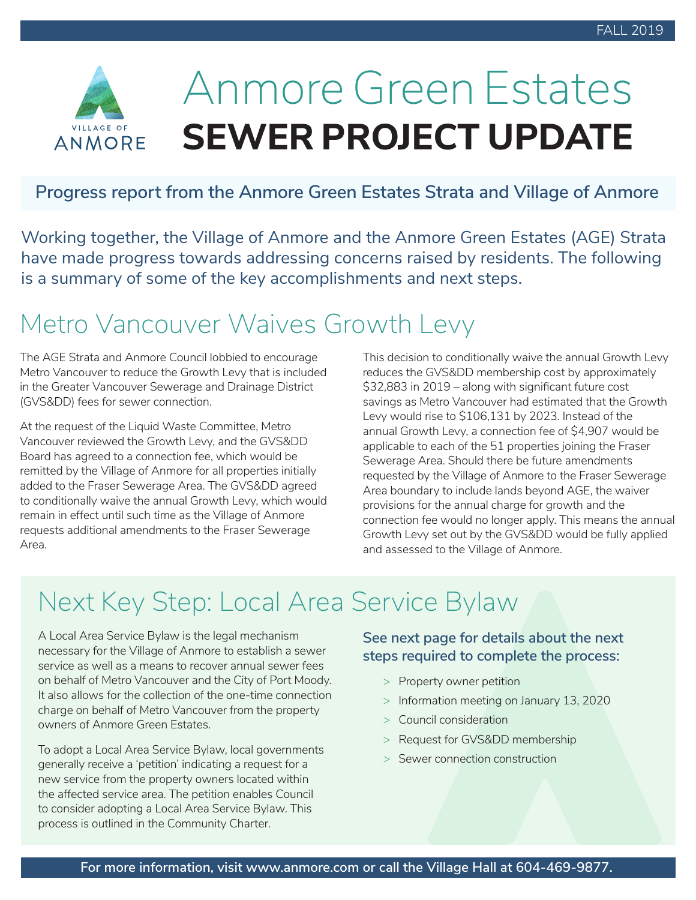

# Anmore Green Estates **SEWER PROJECT UPDATE**

#### **Progress report from the Anmore Green Estates Strata and Village of Anmore**

Working together, the Village of Anmore and the Anmore Green Estates (AGE) Strata have made progress towards addressing concerns raised by residents. The following is a summary of some of the key accomplishments and next steps.

### Metro Vancouver Waives Growth Levy

The AGE Strata and Anmore Council lobbied to encourage Metro Vancouver to reduce the Growth Levy that is included in the Greater Vancouver Sewerage and Drainage District (GVS&DD) fees for sewer connection.

At the request of the Liquid Waste Committee, Metro Vancouver reviewed the Growth Levy, and the GVS&DD Board has agreed to a connection fee, which would be remitted by the Village of Anmore for all properties initially added to the Fraser Sewerage Area. The GVS&DD agreed to conditionally waive the annual Growth Levy, which would remain in effect until such time as the Village of Anmore requests additional amendments to the Fraser Sewerage Area.

This decision to conditionally waive the annual Growth Levy reduces the GVS&DD membership cost by approximately  $$32,883$  in  $2019$  – along with significant future cost savings as Metro Vancouver had estimated that the Growth Levy would rise to \$106,131 by 2023. Instead of the annual Growth Levy, a connection fee of \$4,907 would be applicable to each of the 51 properties joining the Fraser Sewerage Area. Should there be future amendments requested by the Village of Anmore to the Fraser Sewerage Area boundary to include lands beyond AGE, the waiver provisions for the annual charge for growth and the connection fee would no longer apply. This means the annual Growth Levy set out by the GVS&DD would be fully applied and assessed to the Village of Anmore.

### Next Key Step: Local Area Service Bylaw

A Local Area Service Bylaw is the legal mechanism necessary for the Village of Anmore to establish a sewer service as well as a means to recover annual sewer fees on behalf of Metro Vancouver and the City of Port Moody. It also allows for the collection of the one-time connection charge on behalf of Metro Vancouver from the property owners of Anmore Green Estates.

To adopt a Local Area Service Bylaw, local governments generally receive a 'petition' indicating a request for a new service from the property owners located within the affected service area. The petition enables Council to consider adopting a Local Area Service Bylaw. This process is outlined in the Community Charter.

**See next page for details about the next steps required to complete the process:**

- > Property owner petition
- > Information meeting on January 13, 2020
- > Council consideration
- > Request for GVS&DD membership
- > Sewer connection construction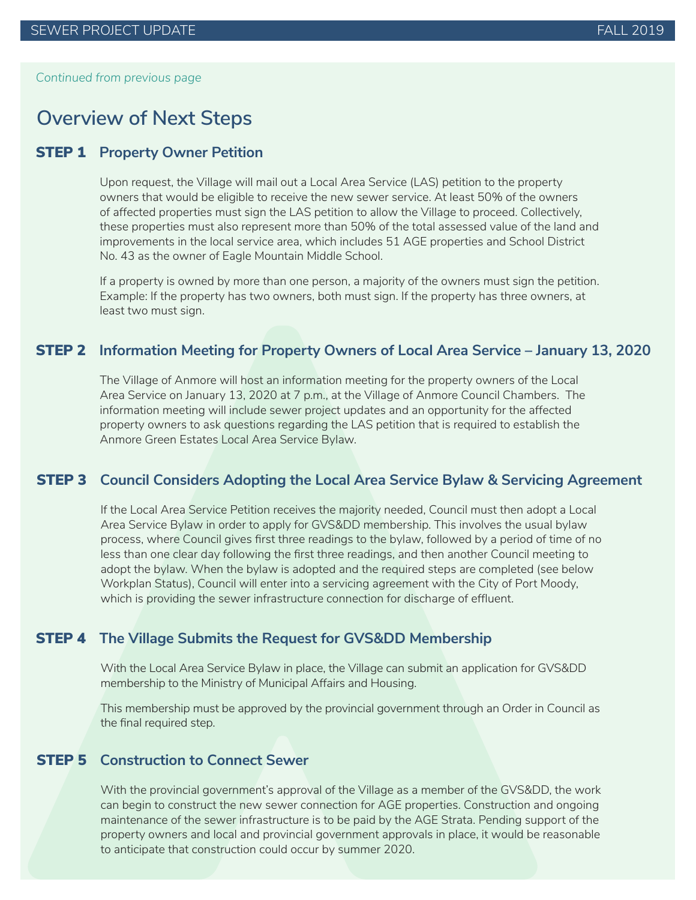*Continued from previous page*

### **Overview of Next Steps**

#### STEP 1 **Property Owner Petition**

Upon request, the Village will mail out a Local Area Service (LAS) petition to the property owners that would be eligible to receive the new sewer service. At least 50% of the owners of affected properties must sign the LAS petition to allow the Village to proceed. Collectively, these properties must also represent more than 50% of the total assessed value of the land and improvements in the local service area, which includes 51 AGE properties and School District No. 43 as the owner of Eagle Mountain Middle School.

If a property is owned by more than one person, a majority of the owners must sign the petition. Example: If the property has two owners, both must sign. If the property has three owners, at least two must sign.

#### STEP 2 **Information Meeting for Property Owners of Local Area Service – January 13, 2020**

The Village of Anmore will host an information meeting for the property owners of the Local Area Service on January 13, 2020 at 7 p.m., at the Village of Anmore Council Chambers. The information meeting will include sewer project updates and an opportunity for the affected property owners to ask questions regarding the LAS petition that is required to establish the Anmore Green Estates Local Area Service Bylaw.

#### STEP 3 **Council Considers Adopting the Local Area Service Bylaw & Servicing Agreement**

If the Local Area Service Petition receives the majority needed, Council must then adopt a Local Area Service Bylaw in order to apply for GVS&DD membership. This involves the usual bylaw process, where Council gives first three readings to the bylaw, followed by a period of time of no less than one clear day following the first three readings, and then another Council meeting to adopt the bylaw. When the bylaw is adopted and the required steps are completed (see below Workplan Status), Council will enter into a servicing agreement with the City of Port Moody, which is providing the sewer infrastructure connection for discharge of effluent.

#### STEP 4 **The Village Submits the Request for GVS&DD Membership**

With the Local Area Service Bylaw in place, the Village can submit an application for GVS&DD membership to the Ministry of Municipal Affairs and Housing.

This membership must be approved by the provincial government through an Order in Council as the final required step.

#### STEP 5 **Construction to Connect Sewer**

With the provincial government's approval of the Village as a member of the GVS&DD, the work can begin to construct the new sewer connection for AGE properties. Construction and ongoing maintenance of the sewer infrastructure is to be paid by the AGE Strata. Pending support of the property owners and local and provincial government approvals in place, it would be reasonable to anticipate that construction could occur by summer 2020.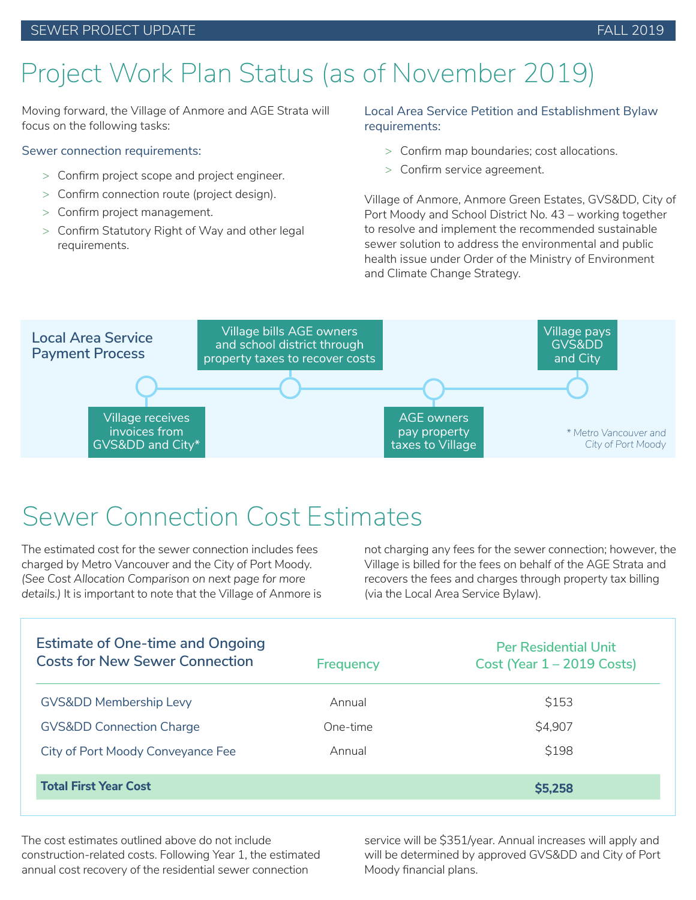#### SEWER PROJECT UPDATE THE SERVER PROJECT OF A SERVER PROJECT OF A SERVER PROJECT OF A SERVER PROJECT OF A SERVE

### Project Work Plan Status (as of November 2019)

Moving forward, the Village of Anmore and AGE Strata will focus on the following tasks:

#### Sewer connection requirements:

- $>$  Confirm project scope and project engineer.
- $>$  Confirm connection route (project design).
- > Confirm project management.
- > Confirm Statutory Right of Way and other legal requirements.

#### Local Area Service Petition and Establishment Bylaw requirements:

- $>$  Confirm map boundaries; cost allocations.
- $>$  Confirm service agreement.

Village of Anmore, Anmore Green Estates, GVS&DD, City of Port Moody and School District No. 43 – working together to resolve and implement the recommended sustainable sewer solution to address the environmental and public health issue under Order of the Ministry of Environment and Climate Change Strategy.



### Sewer Connection Cost Estimates

The estimated cost for the sewer connection includes fees charged by Metro Vancouver and the City of Port Moody. *(See Cost Allocation Comparison on next page for more details.)* It is important to note that the Village of Anmore is not charging any fees for the sewer connection; however, the Village is billed for the fees on behalf of the AGE Strata and recovers the fees and charges through property tax billing (via the Local Area Service Bylaw).

| <b>Estimate of One-time and Ongoing</b><br><b>Costs for New Sewer Connection</b> | <b>Frequency</b> | <b>Per Residential Unit</b><br>Cost (Year $1 - 2019$ Costs) |
|----------------------------------------------------------------------------------|------------------|-------------------------------------------------------------|
| <b>GVSⅅ Membership Levy</b>                                                      | Annual           | \$153                                                       |
| <b>GVSⅅ Connection Charge</b>                                                    | One-time         | \$4,907                                                     |
| City of Port Moody Conveyance Fee                                                | Annual           | \$198                                                       |
| <b>Total First Year Cost</b>                                                     |                  | \$5,258                                                     |

The cost estimates outlined above do not include construction-related costs. Following Year 1, the estimated annual cost recovery of the residential sewer connection

service will be \$351/year. Annual increases will apply and will be determined by approved GVS&DD and City of Port Moody financial plans.